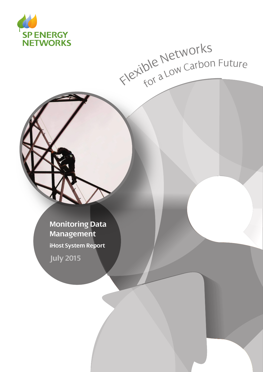

# Flexible Networks<br>Flexible Networks

**Monitoring Data Management iHost System Report**

**July 2015**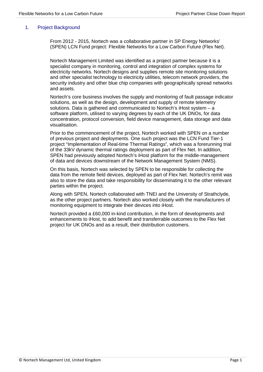## 1. Project Background

From 2012 - 2015, Nortech was a collaborative partner in SP Energy Networks' (SPEN) LCN Fund project: Flexible Networks for a Low Carbon Future (Flex Net).

Nortech Management Limited was identified as a project partner because it is a specialist company in monitoring, control and integration of complex systems for electricity networks. Nortech designs and supplies remote site monitoring solutions and other specialist technology to electricity utilities, telecom network providers, the security industry and other blue chip companies with geographically spread networks and assets.

Nortech's core business involves the supply and monitoring of fault passage indicator solutions, as well as the design, development and supply of remote telemetry solutions. Data is gathered and communicated to Nortech's iHost system – a software platform, utilised to varying degrees by each of the UK DNOs, for data concentration, protocol conversion, field device management, data storage and data visualisation.

Prior to the commencement of the project, Nortech worked with SPEN on a number of previous project and deployments. One such project was the LCN Fund Tier-1 project "Implementation of Real-time Thermal Ratings", which was a forerunning trial of the 33kV dynamic thermal ratings deployment as part of Flex Net. In addition, SPEN had previously adopted Nortech's iHost platform for the middle-management of data and devices downstream of the Network Management System (NMS).

On this basis, Nortech was selected by SPEN to be responsible for collecting the data from the remote field devices, deployed as part of Flex Net. Nortech's remit was also to store the data and take responsibility for disseminating it to the other relevant parties within the project.

Along with SPEN, Nortech collaborated with TNEI and the University of Strathclyde, as the other project partners. Nortech also worked closely with the manufacturers of monitoring equipment to integrate their devices into iHost.

Nortech provided a £60,000 in-kind contribution, in the form of developments and enhancements to iHost, to add benefit and transferrable outcomes to the Flex Net project for UK DNOs and as a result, their distribution customers.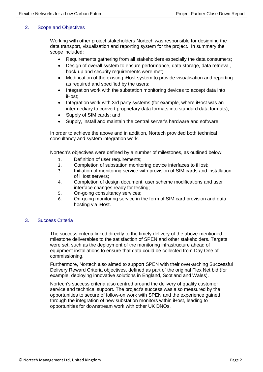# 2. Scope and Objectives

Working with other project stakeholders Nortech was responsible for designing the data transport, visualisation and reporting system for the project. In summary the scope included:

- Requirements gathering from all stakeholders especially the data consumers;
- Design of overall system to ensure performance, data storage, data retrieval, back-up and security requirements were met;
- Modification of the existing iHost system to provide visualisation and reporting as required and specified by the users;
- Integration work with the substation monitoring devices to accept data into iHost;
- Integration work with 3rd party systems (for example, where iHost was an intermediary to convert proprietary data formats into standard data formats);
- Supply of SIM cards; and
- Supply, install and maintain the central server's hardware and software.

In order to achieve the above and in addition, Nortech provided both technical consultancy and system integration work.

Nortech's objectives were defined by a number of milestones, as outlined below:

- 1. Definition of user requirements;
- 2. Completion of substation monitoring device interfaces to iHost;
- 3. Initiation of monitoring service with provision of SIM cards and installation of iHost servers;
- 4. Completion of design document, user scheme modifications and user interface changes ready for testing;
- 5. On-going consultancy services;
- 6. On-going monitoring service in the form of SIM card provision and data hosting via iHost.

## 3. Success Criteria

The success criteria linked directly to the timely delivery of the above-mentioned milestone deliverables to the satisfaction of SPEN and other stakeholders. Targets were set, such as the deployment of the monitoring infrastructure ahead of equipment installations to ensure that data could be collected from Day One of commissioning.

Furthermore, Nortech also aimed to support SPEN with their over-arching Successful Delivery Reward Criteria objectives, defined as part of the original Flex Net bid (for example, deploying innovative solutions in England, Scotland and Wales).

Nortech's success criteria also centred around the delivery of quality customer service and technical support. The project's success was also measured by the opportunities to secure of follow-on work with SPEN and the experience gained through the integration of new substation monitors within iHost, leading to opportunities for downstream work with other UK DNOs.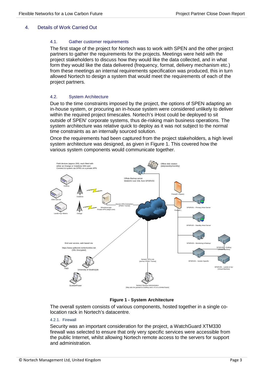## 4. Details of Work Carried Out

#### 4.1. Gather customer requirements

The first stage of the project for Nortech was to work with SPEN and the other project partners to gather the requirements for the projects. Meetings were held with the project stakeholders to discuss how they would like the data collected, and in what form they would like the data delivered (frequency, format, delivery mechanism etc.) from these meetings an internal requirements specification was produced, this in turn allowed Nortech to design a system that would meet the requirements of each of the project partners.

#### 4.2. System Architecture

Due to the time constraints imposed by the project, the options of SPEN adapting an in-house system, or procuring an in-house system were considered unlikely to deliver within the required project timescales. Nortech's iHost could be deployed to sit outside of SPEN' corporate systems, thus de-risking main business operations. The system architecture was relative quick to deploy as it was not subject to the normal time constraints as an internally sourced solution.

Once the requirements had been captured from the project stakeholders, a high level system architecture was designed, as given in Figure 1. This covered how the various system components would communicate together.



#### **Figure 1 - System Architecture**

The overall system consists of various components, hosted together in a single colocation rack in Nortech's datacentre.

#### 4.2.1. Firewall

Security was an important consideration for the project, a WatchGuard XTM330 firewall was selected to ensure that only very specific services were accessible from the public Internet, whilst allowing Nortech remote access to the servers for support and administration.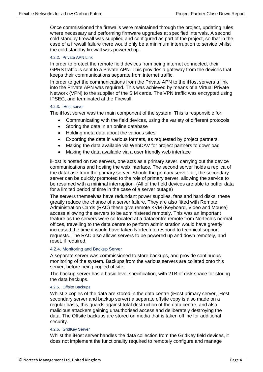Once commissioned the firewalls were maintained through the project, updating rules where necessary and performing firmware upgrades at specified intervals. A second cold-standby firewall was supplied and configured as part of the project, so that in the case of a firewall failure there would only be a minimum interruption to service whilst the cold standby firewall was powered up.

#### 4.2.2. Private APN Link

In order to protect the remote field devices from being internet connected, their GPRS traffic is sent to a Private APN. This provides a gateway from the devices that keeps their communications separate from internet traffic.

In order to get the communications from the Private APN to the iHost servers a link into the Private APN was required. This was achieved by means of a Virtual Private Network (VPN) to the supplier of the SIM cards. The VPN traffic was encrypted using IPSEC, and terminated at the Firewall.

#### 4.2.3. iHost server

The iHost server was the main component of the system. This is responsible for:

- Communicating with the field devices, using the variety of different protocols
- Storing the data in an online database
- Holding meta data about the various sites
- Exporting the data in various formats, as requested by project partners.
- Making the data available via WebDAV for project partners to download
- Making the data available via a user friendly web interface

iHost is hosted on two servers, one acts as a primary sever, carrying out the device communications and hosting the web interface. The second server holds a replica of the database from the primary server. Should the primary server fail, the secondary server can be quickly promoted to the role of primary server, allowing the service to be resumed with a minimal interruption. (All of the field devices are able to buffer data for a limited period of time in the case of a server outage)

The servers themselves have redundant power supplies, fans and hard disks, these greatly reduce the chance of a server failure. They are also fitted with Remote Administration Cards (RAC) these give remote KVM (Keyboard, Video and Mouse) access allowing the servers to be administered remotely. This was an important feature as the servers were co-located at a datacentre remote from Nortech's normal offices, travelling to the data centre to perform administration would have greatly increased the time it would have taken Nortech to respond to technical support requests. The RAC also allows servers to be powered up and down remotely, and reset, if required.

#### 4.2.4. Monitoring and Backup Server

A separate server was commissioned to store backups, and provide continuous monitoring of the system. Backups from the various servers are collated onto this server, before being copied offsite.

The backup server has a basic level specification, with 2TB of disk space for storing the data backups.

#### 4.2.5. Offsite Backups

Whilst 3 copies of the data are stored in the data centre (iHost primary server, iHost secondary server and backup server) a separate offsite copy is also made on a regular basis, this guards against total destruction of the data centre, and also malicious attackers gaining unauthorised access and deliberately destroying the data. The Offsite backups are stored on media that is taken offline for additional security.

#### 4.2.6. GridKey Server

Whilst the iHost server handles the data collection from the GridKey field devices, it does not implement the functionality required to remotely configure and manage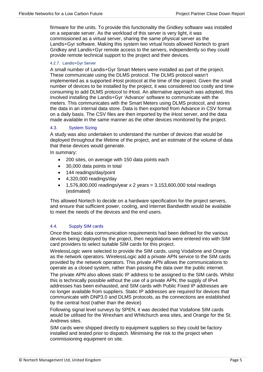firmware for the units. To provide this functionality the Gridkey software was installed on a separate server. As the workload of this server is very light, it was commissioned as a virtual server, sharing the same physical server as the Landis+Gyr software. Making this system two virtual hosts allowed Nortech to grant Gridkey and Landis+Gyr remote access to the servers, independently so they could provide remote technical support to the project and their devices.

#### 4.2.7. Landis+Gyr Server

A small number of Landis+Gyr Smart Meters were installed as part of the project. These communicate using the DLMS protocol. The DLMS protocol wasn't implemented as a supported iHost protocol at the time of the project. Given the small number of devices to be installed by the project, it was considered too costly and time consuming to add DLMS protocol to iHost. An alternative approach was adopted, this involved installing the Landis+Gyr 'Advance' software to communicate with the meters. This communicates with the Smart Meters using DLMS protocol, and stores the data in an internal data store. Data is then exported from Advance in CSV format on a daily basis. The CSV files are then imported by the iHost server, and the data made available in the same manner as the other devices monitored by the project.

#### 4.3. System Sizing

A study was also undertaken to understand the number of devices that would be deployed throughout the lifetime of the project, and an estimate of the volume of data that these devices would generate.

In summary:

- 200 sites, on average with 150 data points each
- 30,000 data points in total
- 144 readings/day/point
- 4,320,000 readings/day
- 1,576,800,000 readings/year x 2 years = 3,153,600,000 total readings (estimated)

This allowed Nortech to decide on a hardware specification for the project servers, and ensure that sufficient power, cooling, and Internet Bandwidth would be available to meet the needs of the devices and the end users.

## 4.4. Supply SIM cards

Once the basic data communication requirements had been defined for the various devices being deployed by the project, then negotiations were entered into with SIM card providers to select suitable SIM cards for this project.

WirelessLogic were selected to provide the SIM cards, using Vodafone and Orange as the network operators. WirelessLogic add a private APN service to the SIM cards provided by the network operators. This private APN allows the communications to operate as a closed system, rather than passing the data over the public internet.

The private APN also allows static IP address to be assigned to the SIM cards. Whilst this is technically possible without the use of a private APN, the supply of IPv4 addresses has been exhausted, and SIM cards with Public Fixed IP addresses are no longer available from suppliers. Static IP addresses are required for devices that communicate with DNP3.0 and DLMS protocols, as the connections are established by the central host (rather than the device)

Following signal level surveys by SPEN, it was decided that Vodafone SIM cards would be utilised for the Wrexham and Whitchurch area sites, and Orange for the St. Andrews sites.

SIM cards were shipped directly to equipment suppliers so they could be factory installed and tested prior to dispatch. Minimising the risk to the project when commissioning equipment on site.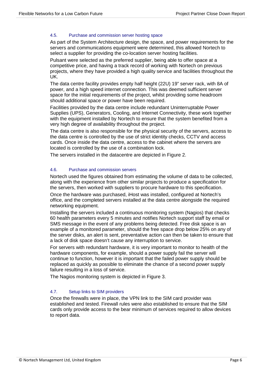#### 4.5. Purchase and commission server hosting space

As part of the System Architecture design, the space, and power requirements for the servers and communications equipment were determined, this allowed Nortech to select a supplier for providing the co-location server hosting facilities.

Pulsant were selected as the preferred supplier, being able to offer space at a competitive price, and having a track record of working with Nortech on previous projects, where they have provided a high quality service and facilities throughout the UK.

The data centre facility provides empty half height (22U) 19" server rack, with 8A of power, and a high speed internet connection. This was deemed sufficient server space for the initial requirements of the project, whilst providing some headroom should additional space or power have been required.

Facilities provided by the data centre include redundant Uninterruptable Power Supplies (UPS), Generators, Cooling, and Internet Connectivity, these work together with the equipment installed by Nortech to ensure that the system benefited from a very high degree of availability throughout the project.

The data centre is also responsible for the physical security of the servers, access to the data centre is controlled by the use of strict identity checks, CCTV and access cards. Once inside the data centre, access to the cabinet where the servers are located is controlled by the use of a combination lock.

The servers installed in the datacentre are depicted in Figure 2.

#### 4.6. Purchase and commission servers

Nortech used the figures obtained from estimating the volume of data to be collected, along with the experience from other similar projects to produce a specification for the servers, then worked with suppliers to procure hardware to this specification.

Once the hardware was purchased, iHost was installed, configured at Nortech's office, and the completed servers installed at the data centre alongside the required networking equipment.

Installing the servers included a continuous monitoring system (Nagios) that checks 60 health parameters every 5 minutes and notifies Nortech support staff by email or SMS message in the event of any problems being detected. Free disk space is an example of a monitored parameter, should the free space drop below 25% on any of the server disks, an alert is sent, preventative action can then be taken to ensure that a lack of disk space doesn't cause any interruption to service.

For servers with redundant hardware, it is very important to monitor to health of the hardware components, for example, should a power supply fail the server will continue to function, however it is important that the failed power supply should be replaced as quickly as possible to eliminate the chance of a second power supply failure resulting in a loss of service.

The Nagios monitoring system is depicted in Figure 3.

## 4.7. Setup links to SIM providers

Once the firewalls were in place, the VPN link to the SIM card provider was established and tested. Firewall rules were also established to ensure that the SIM cards only provide access to the bear minimum of services required to allow devices to report data.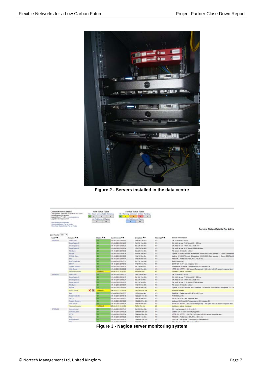

**Figure 2 - Servers installed in the data centre**



**Figure 3 - Nagios server monitoring system**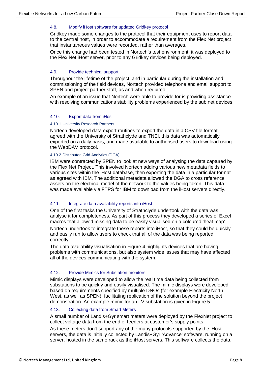#### 4.8. Modify iHost software for updated Gridkey protocol

Gridkey made some changes to the protocol that their equipment uses to report data to the central host, in order to accommodate a requirement from the Flex Net project that instantaneous values were recorded, rather than averages.

Once this change had been tested in Nortech's test environment, it was deployed to the Flex Net iHost server, prior to any Gridkey devices being deployed.

#### 4.9. Provide technical support

Throughout the lifetime of the project, and in particular during the installation and commissioning of the field devices, Nortech provided telephone and email support to SPEN and project partner staff, as and when required.

An example of an issue that Nortech were able to provide for is providing assistance with resolving communications stability problems experienced by the sub.net devices.

#### 4.10. Export data from iHost

#### 4.10.1.University Research Partners

Nortech developed data export routines to export the data in a CSV file format, agreed with the University of Strathclyde and TNEI, this data was automatically exported on a daily basis, and made available to authorised users to download using the WebDAV protocol.

#### 4.10.2.Distributed Grid Analytics (DGA)

IBM were contracted by SPEN to look at new ways of analysing the data captured by the Flex Net Project. This involved Nortech adding various new metadata fields to various sites within the iHost database, then exporting the data in a particular format as agreed with IBM. The additional metadata allowed the DGA to cross reference assets on the electrical model of the network to the values being taken. This data was made available via FTPS for IBM to download from the iHost servers directly.

## 4.11. Integrate data availability reports into iHost

One of the first tasks the University of Strathclyde undertook with the data was analyse it for completeness. As part of this process they developed a series of Excel macros that allowed missing data to be easily visualised on a coloured 'heat map'.

Nortech undertook to integrate these reports into iHost, so that they could be quickly and easily run to allow users to check that all of the data was being reported correctly.

The data availability visualisation in Figure 4 highlights devices that are having problems with communications, but also system wide issues that may have affected all of the devices communicating with the system.

## 4.12. Provide Mimics for Substation monitors

Mimic displays were developed to allow the real time data being collected from substations to be quickly and easily visualised. The mimic displays were developed based on requirements specified by multiple DNOs (for example Electricity North West, as well as SPEN), facilitating replication of the solution beyond the project demonstration. An example mimic for an LV substation is given in Figure 5.

#### 4.13. Collecting data from Smart Meters

A small number of Landis+Gyr smart meters were deployed by the FlexNet project to collect voltage data from the end of feeders at customer's supply points.

As these meters don't support any of the many protocols supported by the iHost servers, the data is initially collected by Landis+Gyr 'Advance' software, running on a server, hosted in the same rack as the iHost servers. This software collects the data,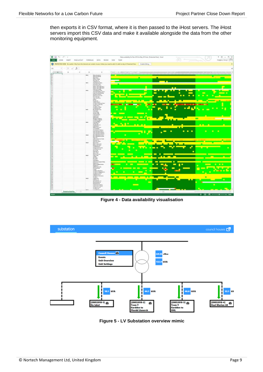then exports it in CSV format, where it is then passed to the iHost servers. The iHost servers import this CSV data and make it available alongside the data from the other monitoring equipment.



**Figure 4 - Data availability visualisation**



**Figure 5 - LV Substation overview mimic**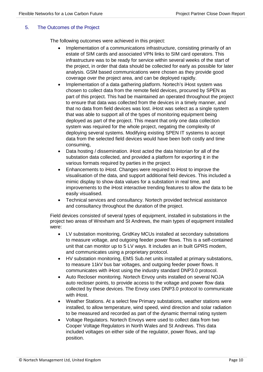# 5. The Outcomes of the Project

The following outcomes were achieved in this project:

- Implementation of a communications infrastructure, consisting primarily of an estate of SIM cards and associated VPN links to SIM card operators. This infrastructure was to be ready for service within several weeks of the start of the project, in order that data should be collected for early as possible for later analysis. GSM based communications were chosen as they provide good coverage over the project area, and can be deployed rapidly.
- Implementation of a data gathering platform. Nortech's iHost system was chosen to collect data from the remote field devices, procured by SPEN as part of this project. This had be maintained an operated throughout the project to ensure that data was collected from the devices in a timely manner, and that no data from field devices was lost. iHost was select as a single system that was able to support all of the types of monitoring equipment being deployed as part of the project. This meant that only one data collection system was required for the whole project, negating the complexity of deploying several systems. Modifying existing SPEN IT systems to accept data from the selected field devices would have been both costly and time consuming,
- Data hosting / dissemination. iHost acted the data historian for all of the substation data collected, and provided a platform for exporting it in the various formats required by parties in the project.
- Enhancements to iHost. Changes were required to iHost to improve the visualisation of the data, and support additional field devices. This included a mimic display to show data values for a substation in real time, and improvements to the iHost interactive trending features to allow the data to be easily visualised.
- Technical services and consultancy. Nortech provided technical assistance and consultancy throughout the duration of the project.

Field devices consisted of several types of equipment, installed in substations in the project two areas of Wrexham and St Andrews, the main types of equipment installed were:

- LV substation monitoring, GridKey MCUs installed at secondary substations to measure voltage, and outgoing feeder power flows. This is a self-contained unit that can monitor up to 5 LV ways. It includes an in built GPRS modem, and communicates using a proprietary protocol.
- HV substation monitoring, EMS Sub.net units installed at primary substations, to measure 11kV bus bar voltages, and outgoing feeder power flows. It communicates with iHost using the industry standard DNP3.0 protocol.
- Auto Recloser monitoring. Nortech Envoy units installed on several NOJA auto recloser points, to provide access to the voltage and power flow data collected by these devices. The Envoy uses DNP3.0 protocol to communicate with iHost.
- Weather Stations. At a select few Primary substations, weather stations were installed, to allow temperature, wind speed, wind direction and solar radiation to be measured and recorded as part of the dynamic thermal rating system
- Voltage Regulators. Nortech Envoys were used to collect data from two Cooper Voltage Regulators in North Wales and St Andrews. This data included voltages on either side of the regulator, power flows, and tap position.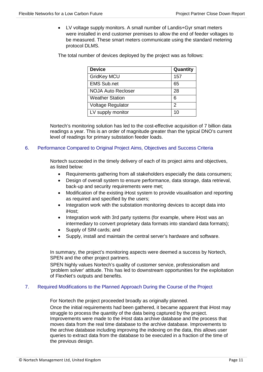• LV voltage supply monitors. A small number of Landis+Gyr smart meters were installed in end customer premises to allow the end of feeder voltages to be measured. These smart meters communicate using the standard metering protocol DLMS.

The total number of devices deployed by the project was as follows:

| <b>Device</b>             | Quantity |
|---------------------------|----------|
| <b>GridKey MCU</b>        | 157      |
| <b>EMS Sub.net</b>        | 65       |
| <b>NOJA Auto Recloser</b> | 28       |
| <b>Weather Station</b>    | 6        |
| Voltage Regulator         | 2        |
| LV supply monitor         | 10       |

Nortech's monitoring solution has led to the cost-effective acquisition of 7 billion data readings a year. This is an order of magnitude greater than the typical DNO's current level of readings for primary substation feeder loads.

# 6. Performance Compared to Original Project Aims, Objectives and Success Criteria

Nortech succeeded in the timely delivery of each of its project aims and objectives, as listed below:

- Requirements gathering from all stakeholders especially the data consumers;
- Design of overall system to ensure performance, data storage, data retrieval, back-up and security requirements were met;
- Modification of the existing iHost system to provide visualisation and reporting as required and specified by the users;
- Integration work with the substation monitoring devices to accept data into iHost;
- Integration work with 3rd party systems (for example, where iHost was an intermediary to convert proprietary data formats into standard data formats);
- Supply of SIM cards; and
- Supply, install and maintain the central server's hardware and software.

In summary, the project's monitoring aspects were deemed a success by Nortech, SPEN and the other project partners.

SPEN highly values Nortech's quality of customer service, professionalism and 'problem solver' attitude. This has led to downstream opportunities for the exploitation of FlexNet's outputs and benefits.

## 7. Required Modifications to the Planned Approach During the Course of the Project

For Nortech the project proceeded broadly as originally planned.

Once the initial requirements had been gathered, it became apparent that iHost may struggle to process the quantity of the data being captured by the project.

Improvements were made to the iHost data archive database and the process that moves data from the real time database to the archive database. Improvements to the archive database including improving the indexing on the data, this allows user queries to extract data from the database to be executed in a fraction of the time of the previous design.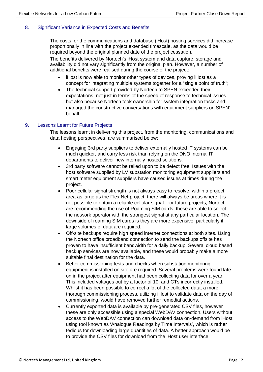# 8. Significant Variance in Expected Costs and Benefits

The costs for the communications and database (iHost) hosting services did increase proportionally in line with the project extended timescale, as the data would be required beyond the original planned date of the project cessation.

The benefits delivered by Nortech's iHost system and data capture, storage and availability did not vary significantly from the original plan. However, a number of additional benefits were realised during the course of the project:

- iHost is now able to monitor other types of devices, proving iHost as a concept for integrating multiple systems together for a "single point of truth";
- The technical support provided by Nortech to SPEN exceeded their expectations, not just in terms of the speed of response to technical issues but also because Nortech took ownership for system integration tasks and managed the constructive conversations with equipment suppliers on SPEN' behalf.

# 9. Lessons Learnt for Future Projects

The lessons learnt in delivering this project, from the monitoring, communications and data hosting perspectives, are summarised below:

- Engaging 3rd party suppliers to deliver externally hosted IT systems can be much quicker, and carry less risk than relying on the DNO internal IT departments to deliver new internally hosted solutions.
- 3rd party software cannot be relied upon to be defect free. Issues with the host software supplied by LV substation monitoring equipment suppliers and smart meter equipment suppliers have caused issues at times during the project.
- Poor cellular signal strength is not always easy to resolve, within a project area as large as the Flex Net project, there will always be areas where it is not possible to obtain a reliable cellular signal. For future projects, Nortech are recommending the use of Roaming SIM cards, these are able to select the network operator with the strongest signal at any particular location. The downside of roaming SIM cards is they are more expensive, particularly if large volumes of data are required.
- Off-site backups require high speed internet connections at both sites. Using the Nortech office broadband connection to send the backups offsite has proven to have insufficient bandwidth for a daily backup. Several cloud based backup services are now available, and these would probably make a more suitable final destination for the data.
- Better commissioning tests and checks when substation monitoring equipment is installed on site are required. Several problems were found late on in the project after equipment had been collecting data for over a year. This included voltages out by a factor of 10, and CTs incorrectly installed. Whilst it has been possible to correct a lot of the collected data, a more thorough commissioning process, utilizing iHost to validate data on the day of commissioning, would have removed further remedial actions.
- Currently exported data is available by pre-generated CSV files, however these are only accessible using a special WebDAV connection. Users without access to the WebDAV connection can download data on-demand from iHost using tool known as 'Analogue Readings by Time Intervals', which is rather tedious for downloading large quantities of data. A better approach would be to provide the CSV files for download from the iHost user interface.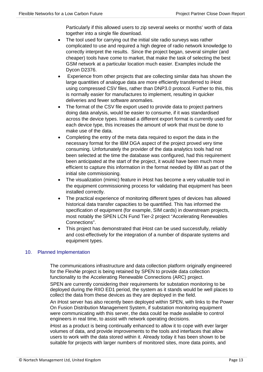Particularly if this allowed users to zip several weeks or months' worth of data together into a single file download.

- The tool used for carrying out the initial site radio surveys was rather complicated to use and required a high degree of radio network knowledge to correctly interpret the results. Since the project began, several simpler (and cheaper) tools have come to market, that make the task of selecting the best GSM network at a particular location much easier. Examples include the Dycon D2376.
- Experience from other projects that are collecting similar data has shown the large quantities of analogue data are more efficiently transferred to iHost using compressed CSV files, rather than DNP3.0 protocol. Further to this, this is normally easier for manufactures to implement, resulting in quicker deliveries and fewer software anomalies.
- The format of the CSV file export used to provide data to project partners doing data analysis, would be easier to consume, if it was standardised across the device types. Instead a different export format is currently used for each device type, this increases the amount of work that must be done to make use of the data.
- Completing the entry of the meta data required to export the data in the necessary format for the IBM DGA aspect of the project proved very time consuming. Unfortunately the provider of the data analytics tools had not been selected at the time the database was configured, had this requirement been anticipated at the start of the project, it would have been much more efficient to capture this information in the format needed by IBM as part of the initial site commissioning.
- The visualization (mimic) feature in iHost has become a very valuable tool in the equipment commissioning process for validating that equipment has been installed correctly.
- The practical experience of monitoring different types of devices has allowed historical data transfer capacities to be quantified. This has informed the specification of equipment (for example, SIM cards) in downstream projects, most notably the SPEN LCN Fund Tier-2 project "Accelerating Renewables Connections".
- This project has demonstrated that iHost can be used successfully, reliably and cost-effectively for the integration of a number of disparate systems and equipment types.

# 10. Planned Implementation

The communications infrastructure and data collection platform originally engineered for the FlexNe project is being retained by SPEN to provide data collection functionality to the Accelerating Renewable Connections (ARC) project.

SPEN are currently considering their requirements for substation monitoring to be deployed during the RIIO ED1 period, the system as it stands would be well places to collect the data from these devices as they are deployed in the field.

An iHost server has also recently been deployed within SPEN, with links to the Power On Fusion Distribution Management System, if substation monitoring equipment were communicating with this server, the data could be made available to control engineers in real time, to assist with network operating decisions.

iHost as a product is being continually enhanced to allow it to cope with ever larger volumes of data, and provide improvements to the tools and interfaces that allow users to work with the data stored within it. Already today it has been shown to be suitable for projects with larger numbers of monitored sites, more data points, and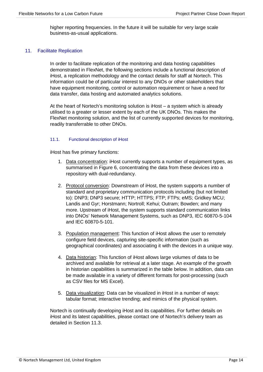higher reporting frequencies. In the future it will be suitable for very large scale business-as-usual applications.

## 11. Facilitate Replication

In order to facilitate replication of the monitoring and data hosting capabilities demonstrated in FlexNet, the following sections include a functional description of iHost, a replication methodology and the contact details for staff at Nortech. This information could be of particular interest to any DNOs or other stakeholders that have equipment monitoring, control or automation requirement or have a need for data transfer, data hosting and automated analytics solutions.

At the heart of Nortech's monitoring solution is iHost – a system which is already utilised to a greater or lesser extent by each of the UK DNOs. This makes the FlexNet monitoring solution, and the list of currently supported devices for monitoring, readily transferrable to other DNOs.

#### 11.1. Functional description of iHost

iHost has five primary functions:

- 1. Data concentration: iHost currently supports a number of equipment types, as summarised in Figure 6, concentrating the data from these devices into a repository with dual-redundancy.
- 2. Protocol conversion: Downstream of iHost, the system supports a number of standard and proprietary communication protocols including (but not limited to): DNP3; DNP3 secure; HTTP; HTTPS; FTP; FTPs; eMS; Gridkey MCU; Landis and Gyr; Horstmann; Nortroll; Kehui; Outram; Bowden; and many more. Upstream of iHost, the system supports standard communication links into DNOs' Network Management Systems, such as DNP3, IEC 60870-5-104 and IEC 60870-5-101.
- 3. Population management: This function of iHost allows the user to remotely configure field devices, capturing site-specific information (such as geographical coordinates) and associating it with the devices in a unique way.
- 4. Data historian: This function of iHost allows large volumes of data to be archived and available for retrieval at a later stage. An example of the growth in historian capabilities is summarized in the table below. In addition, data can be made available in a variety of different formats for post-processing (such as CSV files for MS Excel).
- 5. Data visualization: Data can be visualized in iHost in a number of ways: tabular format; interactive trending; and mimics of the physical system.

Nortech is continually developing iHost and its capabilities. For further details on iHost and its latest capabilities, please contact one of Nortech's delivery team as detailed in Section 11.3.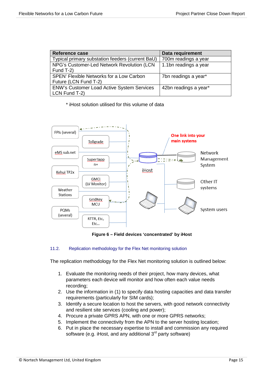| <b>Reference case</b>                            | Data requirement      |
|--------------------------------------------------|-----------------------|
| Typical primary substation feeders (current BaU) | 700m readings a year  |
| NPG's Customer-Led Network Revolution (LCN       | 1.1bn readings a year |
| Fund T-2)                                        |                       |
| SPEN' Flexible Networks for a Low Carbon         | 7bn readings a year*  |
| Future (LCN Fund T-2)                            |                       |
| ENW's Customer Load Active System Services       | 42bn readings a year* |
| LCN Fund T-2)                                    |                       |

\* iHost solution utilised for this volume of data



**Figure 6 – Field devices 'concentrated' by iHost**

# 11.2. Replication methodology for the Flex Net monitoring solution

The replication methodology for the Flex Net monitoring solution is outlined below:

- 1. Evaluate the monitoring needs of their project, how many devices, what parameters each device will monitor and how often each value needs recording;
- 2. Use the information in (1) to specify data hosting capacities and data transfer requirements (particularly for SIM cards);
- 3. Identify a secure location to host the servers, with good network connectivity and resilient site services (cooling and power);
- 4. Procure a private GPRS APN, with one or more GPRS networks;
- 5. Implement the connectivity from the APN to the server hosting location;
- 6. Put in place the necessary expertise to install and commission any required software (e.g. iHost, and any additional 3<sup>rd</sup> party software)